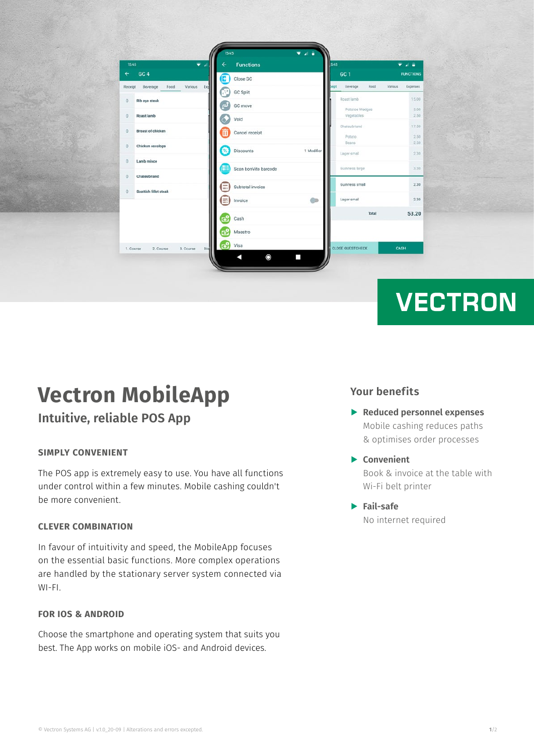| 1545    | ۰                                          |                    | <b>Functions</b>     |            | <b>S45</b>               | .                   |
|---------|--------------------------------------------|--------------------|----------------------|------------|--------------------------|---------------------|
|         | GC <sub>4</sub>                            | $\rightarrow$      | Close GC             |            | GC <sub>1</sub>          | <b>FUNCTIONS</b>    |
| Receipt | Various Exp<br>Food<br>Beverage            | W.                 | <b>GC Split</b>      |            | Beverage<br>Food<br>siet | Various<br>Expenses |
|         | Rib eye steak                              | $\vec{\mathbf{e}}$ | GC move              |            | Roast lamb               | 15.00               |
|         |                                            |                    |                      |            | Potatoe Wedges           | 3.00                |
|         | Roast lamb                                 | ۵                  | Void                 |            | Vegetables               | 2.50                |
|         |                                            |                    |                      |            | Chateubriand             | 17.50               |
|         | <b>Breast of chicken</b>                   | m                  | Cancel receipt       |            | Potato                   | 2.50                |
|         | Chicken escalope                           |                    |                      |            | <b>Beans</b>             | 2.50                |
|         |                                            | 23                 | Discounts            | 1 Modifier | Lager small              | 2.30                |
|         | Lamb mince                                 | H                  | Scan bonVito barcode |            | Guinness large           | 3.30                |
|         | Chateubriand                               | E                  | Subtotal invoice     |            | Guinness small           | 2.30                |
|         | Scottish fillet steak                      | E)                 | Invoice              | m          | Lager small              | 2.30                |
|         |                                            | ේ                  | Cash                 |            | Total                    | 53.20               |
|         |                                            | ক                  | Maestro              |            |                          |                     |
|         | Dis<br>2. Course<br>3. Course<br>1. Course | ಡಿ                 | Visa                 |            | <b>CLOSE GUESTCHECK</b>  | CASH                |
|         |                                            |                    | $\mathbf{\circ}$     | п          |                          |                     |

# **VECTRON**

## **Vectron MobileApp**

### **Intuitive, reliable POS App**

#### **SIMPLY CONVENIENT**

The POS app is extremely easy to use. You have all functions under control within a few minutes. Mobile cashing couldn't be more convenient.

#### **CLEVER COMBINATION**

In favour of intuitivity and speed, the MobileApp focuses on the essential basic functions. More complex operations are handled by the stationary server system connected via WI-FI.

#### **FOR IOS & ANDROID**

Choose the smartphone and operating system that suits you best. The App works on mobile iOS- and Android devices.

#### **Your benefits**

- A **Reduced personnel expenses**  Mobile cashing reduces paths & optimises order processes
- A **Convenient** Book & invoice at the table with Wi-Fi belt printer

#### A **Fail-safe**  No internet required